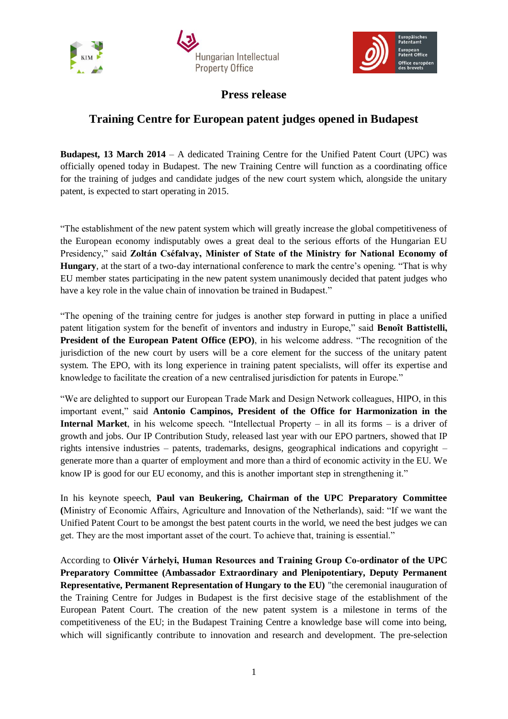





**Press release**

## **Training Centre for European patent judges opened in Budapest**

**Budapest, 13 March 2014** – A dedicated Training Centre for the Unified Patent Court (UPC) was officially opened today in Budapest. The new Training Centre will function as a coordinating office for the training of judges and candidate judges of the new court system which, alongside the unitary patent, is expected to start operating in 2015.

"The establishment of the new patent system which will greatly increase the global competitiveness of the European economy indisputably owes a great deal to the serious efforts of the Hungarian EU Presidency," said **Zoltán Cséfalvay, Minister of State of the Ministry for National Economy of Hungary**, at the start of a two-day international conference to mark the centre's opening. "That is why EU member states participating in the new patent system unanimously decided that patent judges who have a key role in the value chain of innovation be trained in Budapest."

"The opening of the training centre for judges is another step forward in putting in place a unified patent litigation system for the benefit of inventors and industry in Europe," said **Benoît Battistelli, President of the European Patent Office (EPO)**, in his welcome address. "The recognition of the jurisdiction of the new court by users will be a core element for the success of the unitary patent system. The EPO, with its long experience in training patent specialists, will offer its expertise and knowledge to facilitate the creation of a new centralised jurisdiction for patents in Europe."

"We are delighted to support our European Trade Mark and Design Network colleagues, HIPO, in this important event," said **Antonio Campinos, President of the Office for Harmonization in the Internal Market**, in his welcome speech. "Intellectual Property – in all its forms – is a driver of growth and jobs. Our IP Contribution Study, released last year with our EPO partners, showed that IP rights intensive industries – patents, trademarks, designs, geographical indications and copyright – generate more than a quarter of employment and more than a third of economic activity in the EU. We know IP is good for our EU economy, and this is another important step in strengthening it."

In his keynote speech, **Paul van Beukering, Chairman of the UPC Preparatory Committee (**Ministry of Economic Affairs, Agriculture and Innovation of the Netherlands), said: "If we want the Unified Patent Court to be amongst the best patent courts in the world, we need the best judges we can get. They are the most important asset of the court. To achieve that, training is essential."

According to **Olivér Várhelyi, Human Resources and Training Group Co-ordinator of the UPC Preparatory Committee (Ambassador Extraordinary and Plenipotentiary, Deputy Permanent Representative, Permanent Representation of Hungary to the EU)** "the ceremonial inauguration of the Training Centre for Judges in Budapest is the first decisive stage of the establishment of the European Patent Court. The creation of the new patent system is a milestone in terms of the competitiveness of the EU; in the Budapest Training Centre a knowledge base will come into being, which will significantly contribute to innovation and research and development. The pre-selection